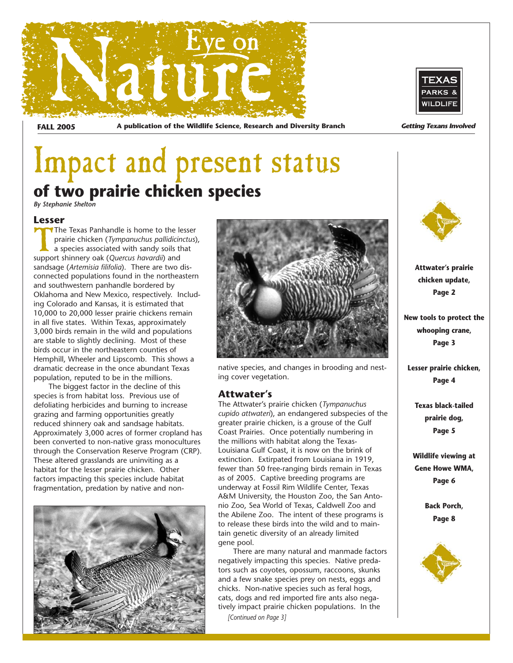

**FALL 2005** A publication of the Wildlife Science, Research and Diversity Branch **Getting Texans Involved** 



## Impact and present status **of two prairie chicken species**

*By Stephanie Shelton*

**Lesser**<br>**MN**The Texas Panhandle is home to the lesser The Texas Panhandle is home to the lesser<br>prairie chicken (Tympanuchus pallidicinctus)<br>a species associated with sandy soils that<br>support shinnery oak (Quercus havardii) and prairie chicken (*Tympanuchus pallidicinctus*), a species associated with sandy soils that support shinnery oak (*Quercus havardii*) and sandsage (*Artemisia filifolia*). There are two disconnected populations found in the northeastern and southwestern panhandle bordered by Oklahoma and New Mexico, respectively. Including Colorado and Kansas, it is estimated that 10,000 to 20,000 lesser prairie chickens remain in all five states. Within Texas, approximately 3,000 birds remain in the wild and populations are stable to slightly declining. Most of these birds occur in the northeastern counties of Hemphill, Wheeler and Lipscomb. This shows a dramatic decrease in the once abundant Texas population, reputed to be in the millions.

The biggest factor in the decline of this species is from habitat loss. Previous use of defoliating herbicides and burning to increase grazing and farming opportunities greatly reduced shinnery oak and sandsage habitats. Approximately 3,000 acres of former cropland has been converted to non-native grass monocultures through the Conservation Reserve Program (CRP). These altered grasslands are uninviting as a habitat for the lesser prairie chicken. Other factors impacting this species include habitat fragmentation, predation by native and non-





native species, and changes in brooding and nesting cover vegetation.

### **Attwater's**

The Attwater's prairie chicken (*Tympanuchus cupido attwateri*), an endangered subspecies of the greater prairie chicken, is a grouse of the Gulf Coast Prairies. Once potentially numbering in the millions with habitat along the Texas-Louisiana Gulf Coast, it is now on the brink of extinction. Extirpated from Louisiana in 1919, fewer than 50 free-ranging birds remain in Texas as of 2005. Captive breeding programs are underway at Fossil Rim Wildlife Center, Texas A&M University, the Houston Zoo, the San Antonio Zoo, Sea World of Texas, Caldwell Zoo and the Abilene Zoo. The intent of these programs is to release these birds into the wild and to maintain genetic diversity of an already limited gene pool.

There are many natural and manmade factors negatively impacting this species. Native predators such as coyotes, opossum, raccoons, skunks and a few snake species prey on nests, eggs and chicks. Non-native species such as feral hogs, cats, dogs and red imported fire ants also negatively impact prairie chicken populations. In the *[Continued on Page 3]*



**Attwater's prairie chicken update, Page 2**

**New tools to protect the whooping crane, Page 3**

**Lesser prairie chicken, Page 4**

**Texas black-tailed prairie dog, Page 5**

**Wildlife viewing at Gene Howe WMA, Page 6**

> **Back Porch, Page 8**

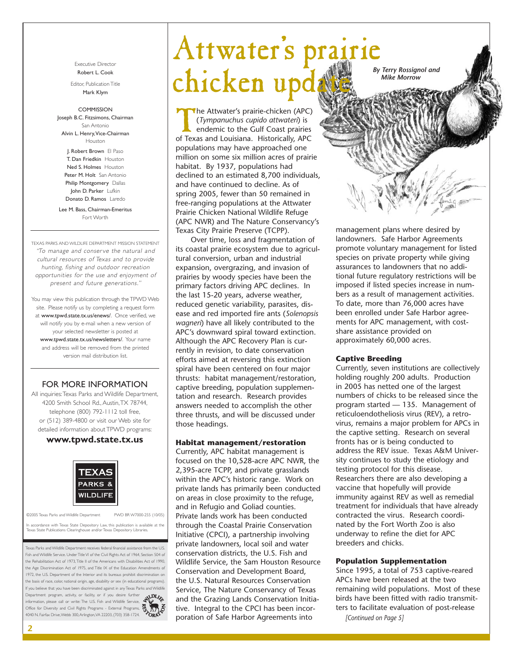Executive Director Robert L. Cook

Editor, Publication Title Mark Klym

#### COMMISSION

Joseph B.C. Fitzsimons, Chairman San Antonio Alvin L. Henry,Vice-Chairman Houston

J. Robert Brown El Paso T. Dan Friedkin Houston Ned S. Holmes Houston Peter M. Holt San Antonio Philip Montgomery Dallas John D. Parker Lufkin Donato D. Ramos Laredo

Lee M. Bass, Chairman-Emeritus Fort Worth

TEXAS PARKS AND WILDLIFE DEPARTMENT MISSION STATEMENT "To manage and conser ve the natural and cultural resources of Texas and to provide hunting, fishing and outdoor recreation opportunities for the use and enjoyment of present and future generations."

You may view this publication through the TPWD Web site. Please notify us by completing a request form at www.tpwd.state.tx.us/enews/. Once verified, we will notify you by e-mail when a new version of your selected newsletter is posted at www.tpwd.state.tx.us/newsletters/. Your name and address will be removed from the printed version mail distribution list.

#### FOR MORE INFORMATION

All inquiries: Texas Parks and Wildlife Department, 4200 Smith School Rd., Austin,TX 78744, telephone (800) 792-1112 toll free, or (512) 389-4800 or visit our Web site for detailed information about TPWD programs:

#### **www.tpwd.state.tx.us**



©2005 Texas Parks and Wildlife Department PWD BR W7000-255 (10/05)

In accordance with Texas State Depository Law, this publication is available at the Texas State Publications Clearinghouse and/or Texas Depository Libraries.

Texas Parks and Wildlife Department receives federal financial assistance from the U.S. Fish and Wildlife Service. Under Title VI of the Civil Rights Act of 1964, Section 504 of the Rehabilitation Act of 1973,Title II of the Americans with Disabilities Act of 1990, the Age Discrimination Act of 1975, and Title IX of the Education Amendments of 1972, the U.S. Department of the Interior and its bureaus prohibit discrimination on the basis of race, color, national origin, age, disability or sex (in educational programs). If you believe that you have been discriminated against in any Texas Parks and Wildlife Department program, activity, or facility, or if you desire further information, please call or write: The U.S. Fish and Wildlife Service, Office for Diversity and Civil Rights Programs - External Programs, 4040 N. Fairfax Drive,Webb 300,Arlington,VA 22203, (703) 358-1724.



# Attwater's prairie chicken update<sup>By Terry Rossignol and</sup>

The Attwater's prairie-chicken (APC)<br>(*Tympanuchus cupido attwateri*) is<br>endemic to the Gulf Coast prairies<br>of Texas and Louisiana. Historically APC (*Tympanuchus cupido attwateri*) is endemic to the Gulf Coast prairies of Texas and Louisiana. Historically, APC populations may have approached one million on some six million acres of prairie habitat. By 1937, populations had declined to an estimated 8,700 individuals, and have continued to decline. As of spring 2005, fewer than 50 remained in free-ranging populations at the Attwater Prairie Chicken National Wildlife Refuge (APC NWR) and The Nature Conservancy's Texas City Prairie Preserve (TCPP).

Over time, loss and fragmentation of its coastal prairie ecosystem due to agricultural conversion, urban and industrial expansion, overgrazing, and invasion of prairies by woody species have been the primary factors driving APC declines. In the last 15-20 years, adverse weather, reduced genetic variability, parasites, disease and red imported fire ants (*Solenopsis wagneri*) have all likely contributed to the APC's downward spiral toward extinction. Although the APC Recovery Plan is currently in revision, to date conservation efforts aimed at reversing this extinction spiral have been centered on four major thrusts: habitat management/restoration, captive breeding, population supplementation and research. Research provides answers needed to accomplish the other three thrusts, and will be discussed under those headings.

#### **Habitat management/restoration**

Currently, APC habitat management is focused on the 10,528-acre APC NWR, the 2,395-acre TCPP, and private grasslands within the APC's historic range. Work on private lands has primarily been conducted on areas in close proximity to the refuge, and in Refugio and Goliad counties. Private lands work has been conducted through the Coastal Prairie Conservation Initiative (CPCI), a partnership involving private landowners, local soil and water conservation districts, the U.S. Fish and Wildlife Service, the Sam Houston Resource Conservation and Development Board, the U.S. Natural Resources Conservation Service, The Nature Conservancy of Texas and the Grazing Lands Conservation Initiative. Integral to the CPCI has been incorporation of Safe Harbor Agreements into

*Mike Morrow*

management plans where desired by landowners. Safe Harbor Agreements promote voluntary management for listed species on private property while giving assurances to landowners that no additional future regulatory restrictions will be imposed if listed species increase in numbers as a result of management activities. To date, more than 76,000 acres have been enrolled under Safe Harbor agreements for APC management, with costshare assistance provided on approximately 60,000 acres.

#### **Captive Breeding**

Currently, seven institutions are collectively holding roughly 200 adults. Production in 2005 has netted one of the largest numbers of chicks to be released since the program started — 135. Management of reticuloendotheliosis virus (REV), a retrovirus, remains a major problem for APCs in the captive setting. Research on several fronts has or is being conducted to address the REV issue. Texas A&M University continues to study the etiology and testing protocol for this disease. Researchers there are also developing a vaccine that hopefully will provide immunity against REV as well as remedial treatment for individuals that have already contracted the virus. Research coordinated by the Fort Worth Zoo is also underway to refine the diet for APC breeders and chicks.

#### **Population Supplementation**

Since 1995, a total of 753 captive-reared APCs have been released at the two remaining wild populations. Most of these birds have been fitted with radio transmitters to facilitate evaluation of post-release *[Continued on Page 5]*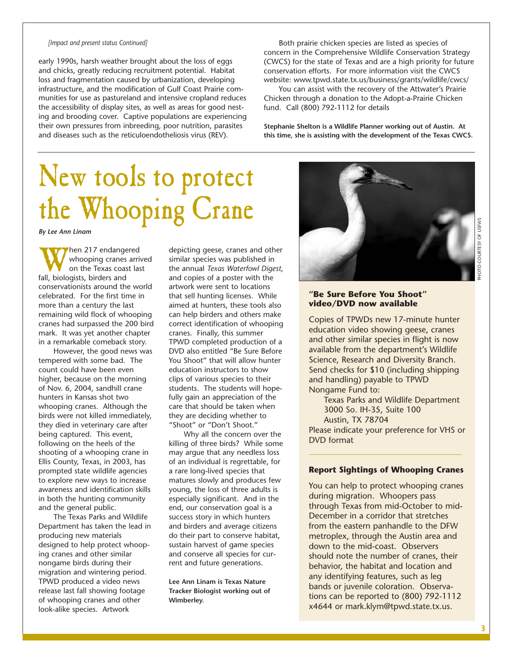#### *[Impact and present status Continued]*

early 1990s, harsh weather brought about the loss of eggs and chicks, greatly reducing recruitment potential. Habitat loss and fragmentation caused by urbanization, developing infrastructure, and the modification of Gulf Coast Prairie communities for use as pastureland and intensive cropland reduces the accessibility of display sites, as well as areas for good nesting and brooding cover. Captive populations are experiencing their own pressures from inbreeding, poor nutrition, parasites and diseases such as the reticuloendotheliosis virus (REV).

## New tools to protect the Whooping Crane

*By Lee Ann Linam*

When 217 endangered<br>whooping cranes arriv<br>fall, biologists, birders and whooping cranes arrived on the Texas coast last conservationists around the world celebrated. For the first time in more than a century the last remaining wild flock of whooping cranes had surpassed the 200 bird mark. It was yet another chapter in a remarkable comeback story.

However, the good news was tempered with some bad. The count could have been even higher, because on the morning of Nov. 6, 2004, sandhill crane hunters in Kansas shot two whooping cranes. Although the birds were not killed immediately, they died in veterinary care after being captured. This event, following on the heels of the shooting of a whooping crane in Ellis County, Texas, in 2003, has prompted state wildlife agencies to explore new ways to increase awareness and identification skills in both the hunting community and the general public.

The Texas Parks and Wildlife Department has taken the lead in producing new materials designed to help protect whooping cranes and other similar nongame birds during their migration and wintering period. TPWD produced a video news release last fall showing footage of whooping cranes and other look-alike species. Artwork

depicting geese, cranes and other similar species was published in the annual *Texas Waterfowl Digest*, and copies of a poster with the artwork were sent to locations that sell hunting licenses. While aimed at hunters, these tools also can help birders and others make correct identification of whooping cranes. Finally, this summer TPWD completed production of a DVD also entitled "Be Sure Before You Shoot" that will allow hunter education instructors to show clips of various species to their students. The students will hopefully gain an appreciation of the care that should be taken when they are deciding whether to "Shoot" or "Don't Shoot."

Why all the concern over the killing of three birds? While some may argue that any needless loss of an individual is regrettable, for a rare long-lived species that matures slowly and produces few young, the loss of three adults is especially significant. And in the end, our conservation goal is a success story in which hunters and birders and average citizens do their part to conserve habitat, sustain harvest of game species and conserve all species for current and future generations.

**Lee Ann Linam is Texas Nature Tracker Biologist working out of Wimberley.**

Both prairie chicken species are listed as species of concern in the Comprehensive Wildlife Conservation Strategy (CWCS) for the state of Texas and are a high priority for future conservation efforts. For more information visit the CWCS website: www.tpwd.state.tx.us/business/grants/wildlife/cwcs/

You can assist with the recovery of the Attwater's Prairie Chicken through a donation to the Adopt-a-Prairie Chicken fund. Call (800) 792-1112 for details

**Stephanie Shelton is a Wildlife Planner working out of Austin. At this time, she is assisting with the development of the Texas CWCS.**



#### **"Be Sure Before You Shoot" video/DVD now available**

Copies of TPWDs new 17-minute hunter education video showing geese, cranes and other similar species in flight is now available from the department's Wildlife Science, Research and Diversity Branch. Send checks for \$10 (including shipping and handling) payable to TPWD Nongame Fund to:

Texas Parks and Wildlife Department 3000 So. IH-35, Suite 100 Austin, TX 78704

Please indicate your preference for VHS or DVD format

#### **Report Sightings of Whooping Cranes**

You can help to protect whooping cranes during migration. Whoopers pass through Texas from mid-October to mid-December in a corridor that stretches from the eastern panhandle to the DFW metroplex, through the Austin area and down to the mid-coast. Observers should note the number of cranes, their behavior, the habitat and location and any identifying features, such as leg bands or juvenile coloration. Observations can be reported to (800) 792-1112 x4644 or mark.klym@tpwd.state.tx.us.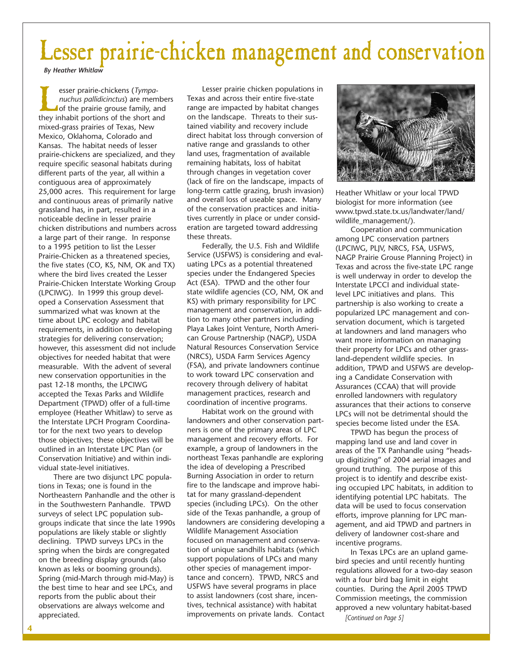## Lesser prairie-chicken management and conservation

*By Heather Whitlaw*

**Example 3** esser prairie-chickens (*Tympa-nuchus pallidicinctus*) are members of the prairie grouse family, and they inhabit portions of the short and *nuchus pallidicinctus*) are members of the prairie grouse family, and mixed-grass prairies of Texas, New Mexico, Oklahoma, Colorado and Kansas. The habitat needs of lesser prairie-chickens are specialized, and they require specific seasonal habitats during different parts of the year, all within a contiguous area of approximately 25,000 acres. This requirement for large and continuous areas of primarily native grassland has, in part, resulted in a noticeable decline in lesser prairie chicken distributions and numbers across a large part of their range. In response to a 1995 petition to list the Lesser Prairie-Chicken as a threatened species, the five states (CO, KS, NM, OK and TX) where the bird lives created the Lesser Prairie-Chicken Interstate Working Group (LPCIWG). In 1999 this group developed a Conservation Assessment that summarized what was known at the time about LPC ecology and habitat requirements, in addition to developing strategies for delivering conservation; however, this assessment did not include objectives for needed habitat that were measurable. With the advent of several new conservation opportunities in the past 12-18 months, the LPCIWG accepted the Texas Parks and Wildlife Department (TPWD) offer of a full-time employee (Heather Whitlaw) to serve as the Interstate LPCH Program Coordinator for the next two years to develop those objectives; these objectives will be outlined in an Interstate LPC Plan (or Conservation Initiative) and within individual state-level initiatives.

There are two disjunct LPC populations in Texas; one is found in the Northeastern Panhandle and the other is in the Southwestern Panhandle. TPWD surveys of select LPC population subgroups indicate that since the late 1990s populations are likely stable or slightly declining. TPWD surveys LPCs in the spring when the birds are congregated on the breeding display grounds (also known as leks or booming grounds). Spring (mid-March through mid-May) is the best time to hear and see LPCs, and reports from the public about their observations are always welcome and appreciated.

Lesser prairie chicken populations in Texas and across their entire five-state range are impacted by habitat changes on the landscape. Threats to their sustained viability and recovery include direct habitat loss through conversion of native range and grasslands to other land uses, fragmentation of available remaining habitats, loss of habitat through changes in vegetation cover (lack of fire on the landscape, impacts of long-term cattle grazing, brush invasion) and overall loss of useable space. Many of the conservation practices and initiatives currently in place or under consideration are targeted toward addressing these threats.

Federally, the U.S. Fish and Wildlife Service (USFWS) is considering and evaluating LPCs as a potential threatened species under the Endangered Species Act (ESA). TPWD and the other four state wildlife agencies (CO, NM, OK and KS) with primary responsibility for LPC management and conservation, in addition to many other partners including Playa Lakes Joint Venture, North American Grouse Partnership (NAGP), USDA Natural Resources Conservation Service (NRCS), USDA Farm Services Agency (FSA), and private landowners continue to work toward LPC conservation and recovery through delivery of habitat management practices, research and coordination of incentive programs.

Habitat work on the ground with landowners and other conservation partners is one of the primary areas of LPC management and recovery efforts. For example, a group of landowners in the northeast Texas panhandle are exploring the idea of developing a Prescribed Burning Association in order to return fire to the landscape and improve habitat for many grassland-dependent species (including LPCs). On the other side of the Texas panhandle, a group of landowners are considering developing a Wildlife Management Association focused on management and conservation of unique sandhills habitats (which support populations of LPCs and many other species of management importance and concern). TPWD, NRCS and USFWS have several programs in place to assist landowners (cost share, incentives, technical assistance) with habitat improvements on private lands. Contact



Heather Whitlaw or your local TPWD biologist for more information (see www.tpwd.state.tx.us/landwater/land/ wildlife\_management/).

Cooperation and communication among LPC conservation partners (LPCIWG, PLJV, NRCS, FSA, USFWS, NAGP Prairie Grouse Planning Project) in Texas and across the five-state LPC range is well underway in order to develop the Interstate LPCCI and individual statelevel LPC initiatives and plans. This partnership is also working to create a popularized LPC management and conservation document, which is targeted at landowners and land managers who want more information on managing their property for LPCs and other grassland-dependent wildlife species. In addition, TPWD and USFWS are developing a Candidate Conservation with Assurances (CCAA) that will provide enrolled landowners with regulatory assurances that their actions to conserve LPCs will not be detrimental should the species become listed under the ESA.

TPWD has begun the process of mapping land use and land cover in areas of the TX Panhandle using "headsup digitizing" of 2004 aerial images and ground truthing. The purpose of this project is to identify and describe existing occupied LPC habitats, in addition to identifying potential LPC habitats. The data will be used to focus conservation efforts, improve planning for LPC management, and aid TPWD and partners in delivery of landowner cost-share and incentive programs.

In Texas LPCs are an upland gamebird species and until recently hunting regulations allowed for a two-day season with a four bird bag limit in eight counties. During the April 2005 TPWD Commission meetings, the commission approved a new voluntary habitat-based

*[Continued on Page 5]*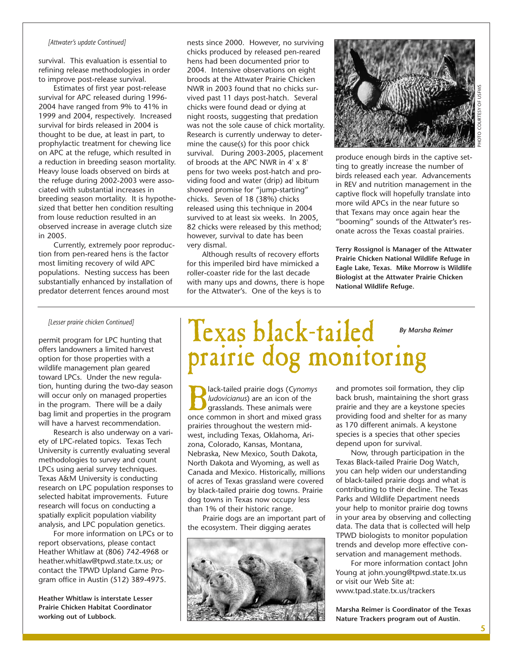#### *[Attwater's update Continued]*

survival. This evaluation is essential to refining release methodologies in order to improve post-release survival.

Estimates of first year post-release survival for APC released during 1996- 2004 have ranged from 9% to 41% in 1999 and 2004, respectively. Increased survival for birds released in 2004 is thought to be due, at least in part, to prophylactic treatment for chewing lice on APC at the refuge, which resulted in a reduction in breeding season mortality. Heavy louse loads observed on birds at the refuge during 2002-2003 were associated with substantial increases in breeding season mortality. It is hypothesized that better hen condition resulting from louse reduction resulted in an observed increase in average clutch size in 2005.

Currently, extremely poor reproduction from pen-reared hens is the factor most limiting recovery of wild APC populations. Nesting success has been substantially enhanced by installation of predator deterrent fences around most

nests since 2000. However, no surviving chicks produced by released pen-reared hens had been documented prior to 2004. Intensive observations on eight broods at the Attwater Prairie Chicken NWR in 2003 found that no chicks survived past 11 days post-hatch. Several chicks were found dead or dying at night roosts, suggesting that predation was not the sole cause of chick mortality. Research is currently underway to determine the cause(s) for this poor chick survival. During 2003-2005, placement of broods at the APC NWR in 4' x 8' pens for two weeks post-hatch and providing food and water (drip) ad libitum showed promise for "jump-starting" chicks. Seven of 18 (38%) chicks released using this technique in 2004 survived to at least six weeks. In 2005, 82 chicks were released by this method; however, survival to date has been very dismal.

Although results of recovery efforts for this imperiled bird have mimicked a roller-coaster ride for the last decade with many ups and downs, there is hope for the Attwater's. One of the keys is to



produce enough birds in the captive setting to greatly increase the number of birds released each year. Advancements in REV and nutrition management in the captive flock will hopefully translate into more wild APCs in the near future so that Texans may once again hear the "booming" sounds of the Attwater's resonate across the Texas coastal prairies.

**Terry Rossignol is Manager of the Attwater Prairie Chicken National Wildlife Refuge in Eagle Lake, Texas. Mike Morrow is Wildlife Biologist at the Attwater Prairie Chicken National Wildlife Refuge.** 

#### *[Lesser prairie chicken Continued]*

permit program for LPC hunting that offers landowners a limited harvest option for those properties with a wildlife management plan geared toward LPCs. Under the new regulation, hunting during the two-day season will occur only on managed properties in the program. There will be a daily bag limit and properties in the program will have a harvest recommendation.

Research is also underway on a variety of LPC-related topics. Texas Tech University is currently evaluating several methodologies to survey and count LPCs using aerial survey techniques. Texas A&M University is conducting research on LPC population responses to selected habitat improvements. Future research will focus on conducting a spatially explicit population viability analysis, and LPC population genetics.

For more information on LPCs or to report observations, please contact Heather Whitlaw at (806) 742-4968 or heather.whitlaw@tpwd.state.tx.us; or contact the TPWD Upland Game Program office in Austin (512) 389-4975.

**Heather Whitlaw is interstate Lesser Prairie Chicken Habitat Coordinator working out of Lubbock.**

### Texas black-tailed prairie dog monitoring *By Marsha Reimer*

Black-tailed prairie dogs (*Cynomys ludovicianus*) are an icon of the grasslands. These animals were once common in short and mixed grass prairies throughout the western midwest, including Texas, Oklahoma, Arizona, Colorado, Kansas, Montana, Nebraska, New Mexico, South Dakota, North Dakota and Wyoming, as well as Canada and Mexico. Historically, millions of acres of Texas grassland were covered by black-tailed prairie dog towns. Prairie dog towns in Texas now occupy less than 1% of their historic range.

Prairie dogs are an important part of the ecosystem. Their digging aerates



and promotes soil formation, they clip back brush, maintaining the short grass prairie and they are a keystone species providing food and shelter for as many as 170 different animals. A keystone species is a species that other species depend upon for survival.

Now, through participation in the Texas Black-tailed Prairie Dog Watch, you can help widen our understanding of black-tailed prairie dogs and what is contributing to their decline. The Texas Parks and Wildlife Department needs your help to monitor prairie dog towns in your area by observing and collecting data. The data that is collected will help TPWD biologists to monitor population trends and develop more effective conservation and management methods.

For more information contact John Young at john.young@tpwd.state.tx.us or visit our Web Site at: www.tpad.state.tx.us/trackers

**Marsha Reimer is Coordinator of the Texas Nature Trackers program out of Austin.**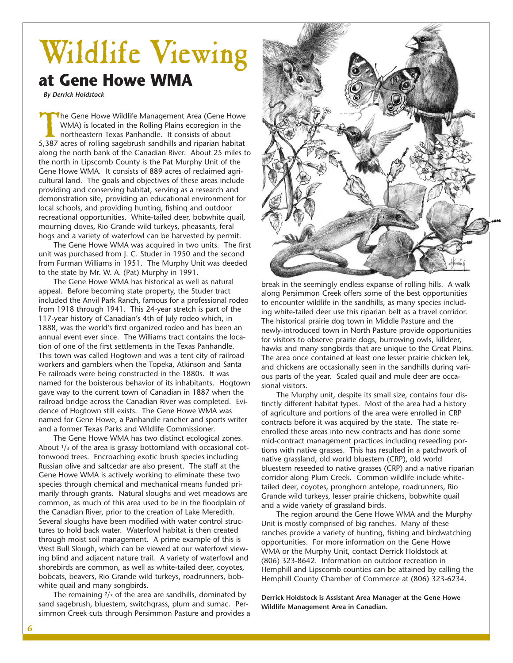### Wildlife Viewing **at Gene Howe WMA**

*By Derrick Holdstock*

The Gene Howe Wildlife Management Area (Gene Howe WMA) is located in the Rolling Plains ecoregion in the northeastern Texas Panhandle. It consists of about 5,387 acres of rolling sagebrush sandhills and riparian habitat along the north bank of the Canadian River. About 25 miles to the north in Lipscomb County is the Pat Murphy Unit of the Gene Howe WMA. It consists of 889 acres of reclaimed agricultural land. The goals and objectives of these areas include providing and conserving habitat, serving as a research and demonstration site, providing an educational environment for local schools, and providing hunting, fishing and outdoor recreational opportunities. White-tailed deer, bobwhite quail, mourning doves, Rio Grande wild turkeys, pheasants, feral hogs and a variety of waterfowl can be harvested by permit.

The Gene Howe WMA was acquired in two units. The first unit was purchased from J. C. Studer in 1950 and the second from Furman Williams in 1951. The Murphy Unit was deeded to the state by Mr. W. A. (Pat) Murphy in 1991.

The Gene Howe WMA has historical as well as natural appeal. Before becoming state property, the Studer tract included the Anvil Park Ranch, famous for a professional rodeo from 1918 through 1941. This 24-year stretch is part of the 117-year history of Canadian's 4th of July rodeo which, in 1888, was the world's first organized rodeo and has been an annual event ever since. The Williams tract contains the location of one of the first settlements in the Texas Panhandle. This town was called Hogtown and was a tent city of railroad workers and gamblers when the Topeka, Atkinson and Santa Fe railroads were being constructed in the 1880s. It was named for the boisterous behavior of its inhabitants. Hogtown gave way to the current town of Canadian in 1887 when the railroad bridge across the Canadian River was completed. Evidence of Hogtown still exists. The Gene Howe WMA was named for Gene Howe, a Panhandle rancher and sports writer and a former Texas Parks and Wildlife Commissioner.

The Gene Howe WMA has two distinct ecological zones. About  $1/3$  of the area is grassy bottomland with occasional cottonwood trees. Encroaching exotic brush species including Russian olive and saltcedar are also present. The staff at the Gene Howe WMA is actively working to eliminate these two species through chemical and mechanical means funded primarily through grants. Natural sloughs and wet meadows are common, as much of this area used to be in the floodplain of the Canadian River, prior to the creation of Lake Meredith. Several sloughs have been modified with water control structures to hold back water. Waterfowl habitat is then created through moist soil management. A prime example of this is West Bull Slough, which can be viewed at our waterfowl viewing blind and adjacent nature trail. A variety of waterfowl and shorebirds are common, as well as white-tailed deer, coyotes, bobcats, beavers, Rio Grande wild turkeys, roadrunners, bobwhite quail and many songbirds.

The remaining  $2/3$  of the area are sandhills, dominated by sand sagebrush, bluestem, switchgrass, plum and sumac. Persimmon Creek cuts through Persimmon Pasture and provides a



break in the seemingly endless expanse of rolling hills. A walk along Persimmon Creek offers some of the best opportunities to encounter wildlife in the sandhills, as many species including white-tailed deer use this riparian belt as a travel corridor. The historical prairie dog town in Middle Pasture and the newly-introduced town in North Pasture provide opportunities for visitors to observe prairie dogs, burrowing owls, killdeer, hawks and many songbirds that are unique to the Great Plains. The area once contained at least one lesser prairie chicken lek, and chickens are occasionally seen in the sandhills during various parts of the year. Scaled quail and mule deer are occasional visitors.

The Murphy unit, despite its small size, contains four distinctly different habitat types. Most of the area had a history of agriculture and portions of the area were enrolled in CRP contracts before it was acquired by the state. The state reenrolled these areas into new contracts and has done some mid-contract management practices including reseeding portions with native grasses. This has resulted in a patchwork of native grassland, old world bluestem (CRP), old world bluestem reseeded to native grasses (CRP) and a native riparian corridor along Plum Creek. Common wildlife include whitetailed deer, coyotes, pronghorn antelope, roadrunners, Rio Grande wild turkeys, lesser prairie chickens, bobwhite quail and a wide variety of grassland birds.

The region around the Gene Howe WMA and the Murphy Unit is mostly comprised of big ranches. Many of these ranches provide a variety of hunting, fishing and birdwatching opportunities. For more information on the Gene Howe WMA or the Murphy Unit, contact Derrick Holdstock at (806) 323-8642. Information on outdoor recreation in Hemphill and Lipscomb counties can be attained by calling the Hemphill County Chamber of Commerce at (806) 323-6234.

**Derrick Holdstock is Assistant Area Manager at the Gene Howe Wildlife Management Area in Canadian.**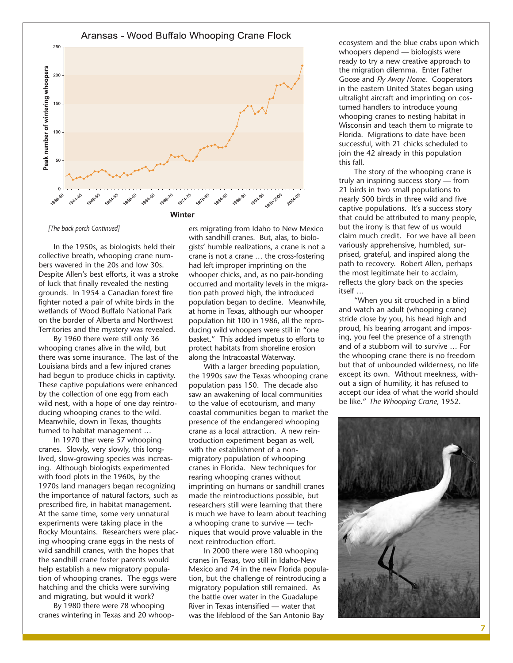

*[The back porch Continued]*

In the 1950s, as biologists held their collective breath, whooping crane numbers wavered in the 20s and low 30s. Despite Allen's best efforts, it was a stroke of luck that finally revealed the nesting grounds. In 1954 a Canadian forest fire fighter noted a pair of white birds in the wetlands of Wood Buffalo National Park on the border of Alberta and Northwest Territories and the mystery was revealed.

By 1960 there were still only 36 whooping cranes alive in the wild, but there was some insurance. The last of the Louisiana birds and a few injured cranes had begun to produce chicks in captivity. These captive populations were enhanced by the collection of one egg from each wild nest, with a hope of one day reintroducing whooping cranes to the wild. Meanwhile, down in Texas, thoughts turned to habitat management …

In 1970 ther were 57 whooping cranes. Slowly, very slowly, this longlived, slow-growing species was increasing. Although biologists experimented with food plots in the 1960s, by the 1970s land managers began recognizing the importance of natural factors, such as prescribed fire, in habitat management. At the same time, some very unnatural experiments were taking place in the Rocky Mountains. Researchers were placing whooping crane eggs in the nests of wild sandhill cranes, with the hopes that the sandhill crane foster parents would help establish a new migratory population of whooping cranes. The eggs were hatching and the chicks were surviving and migrating, but would it work?

By 1980 there were 78 whooping cranes wintering in Texas and 20 whoop-

ers migrating from Idaho to New Mexico with sandhill cranes. But, alas, to biologists' humble realizations, a crane is not a crane is not a crane … the cross-fostering had left improper imprinting on the whooper chicks, and, as no pair-bonding occurred and mortality levels in the migration path proved high, the introduced population began to decline. Meanwhile, at home in Texas, although our whooper population hit 100 in 1986, all the reproducing wild whoopers were still in "one basket." This added impetus to efforts to protect habitats from shoreline erosion along the Intracoastal Waterway.

With a larger breeding population, the 1990s saw the Texas whooping crane population pass 150. The decade also saw an awakening of local communities to the value of ecotourism, and many coastal communities began to market the presence of the endangered whooping crane as a local attraction. A new reintroduction experiment began as well, with the establishment of a nonmigratory population of whooping cranes in Florida. New techniques for rearing whooping cranes without imprinting on humans or sandhill cranes made the reintroductions possible, but researchers still were learning that there is much we have to learn about teaching a whooping crane to survive — techniques that would prove valuable in the next reintroduction effort.

In 2000 there were 180 whooping cranes in Texas, two still in Idaho-New Mexico and 74 in the new Florida population, but the challenge of reintroducing a migratory population still remained. As the battle over water in the Guadalupe River in Texas intensified — water that was the lifeblood of the San Antonio Bay

ecosystem and the blue crabs upon which whoopers depend — biologists were ready to try a new creative approach to the migration dilemma. Enter Father Goose and *Fly Away Home*. Cooperators in the eastern United States began using ultralight aircraft and imprinting on costumed handlers to introduce young whooping cranes to nesting habitat in Wisconsin and teach them to migrate to Florida. Migrations to date have been successful, with 21 chicks scheduled to join the 42 already in this population this fall.

The story of the whooping crane is truly an inspiring success story — from 21 birds in two small populations to nearly 500 birds in three wild and five captive populations. It's a success story that could be attributed to many people, but the irony is that few of us would claim much credit. For we have all been variously apprehensive, humbled, surprised, grateful, and inspired along the path to recovery. Robert Allen, perhaps the most legitimate heir to acclaim, reflects the glory back on the species itself …

"When you sit crouched in a blind and watch an adult (whooping crane) stride close by you, his head high and proud, his bearing arrogant and imposing, you feel the presence of a strength and of a stubborn will to survive … For the whooping crane there is no freedom but that of unbounded wilderness, no life except its own. Without meekness, without a sign of humility, it has refused to accept our idea of what the world should be like." *The Whooping Crane*, 1952.